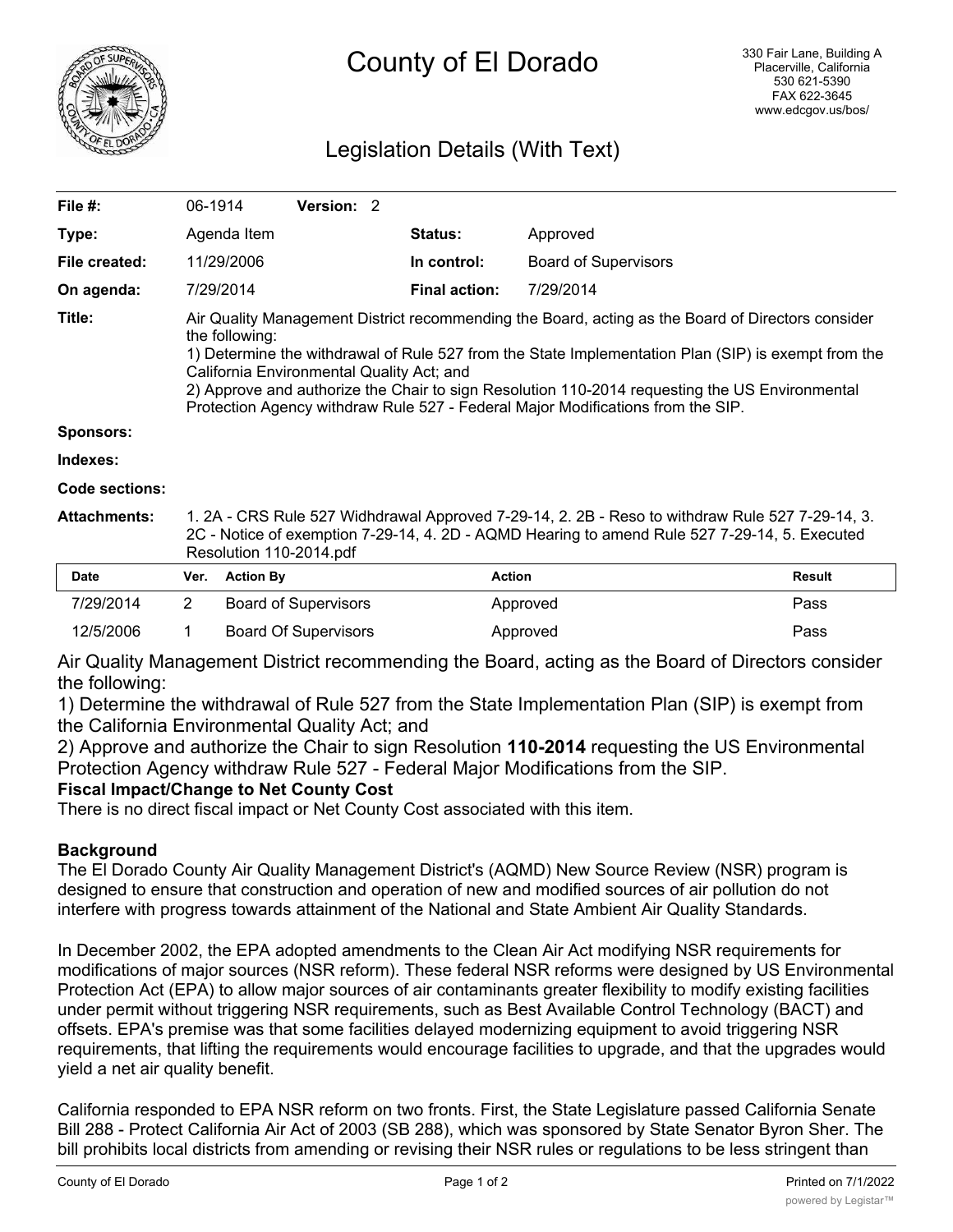

# County of El Dorado

## Legislation Details (With Text)

| File #:               |                                                                                                                                                                                                                                                                                                                                                                                                                                                              | 06-1914          | Version: 2                  |  |                      |                             |               |
|-----------------------|--------------------------------------------------------------------------------------------------------------------------------------------------------------------------------------------------------------------------------------------------------------------------------------------------------------------------------------------------------------------------------------------------------------------------------------------------------------|------------------|-----------------------------|--|----------------------|-----------------------------|---------------|
| Type:                 |                                                                                                                                                                                                                                                                                                                                                                                                                                                              | Agenda Item      |                             |  | <b>Status:</b>       | Approved                    |               |
| File created:         |                                                                                                                                                                                                                                                                                                                                                                                                                                                              | 11/29/2006       |                             |  | In control:          | <b>Board of Supervisors</b> |               |
| On agenda:            |                                                                                                                                                                                                                                                                                                                                                                                                                                                              | 7/29/2014        |                             |  | <b>Final action:</b> | 7/29/2014                   |               |
| Title:                | Air Quality Management District recommending the Board, acting as the Board of Directors consider<br>the following:<br>1) Determine the withdrawal of Rule 527 from the State Implementation Plan (SIP) is exempt from the<br>California Environmental Quality Act; and<br>2) Approve and authorize the Chair to sign Resolution 110-2014 requesting the US Environmental<br>Protection Agency withdraw Rule 527 - Federal Major Modifications from the SIP. |                  |                             |  |                      |                             |               |
| Sponsors:             |                                                                                                                                                                                                                                                                                                                                                                                                                                                              |                  |                             |  |                      |                             |               |
| Indexes:              |                                                                                                                                                                                                                                                                                                                                                                                                                                                              |                  |                             |  |                      |                             |               |
| <b>Code sections:</b> |                                                                                                                                                                                                                                                                                                                                                                                                                                                              |                  |                             |  |                      |                             |               |
| <b>Attachments:</b>   | 1. 2A - CRS Rule 527 Widhdrawal Approved 7-29-14, 2. 2B - Reso to withdraw Rule 527 7-29-14, 3.<br>2C - Notice of exemption 7-29-14, 4. 2D - AQMD Hearing to amend Rule 527 7-29-14, 5. Executed<br>Resolution 110-2014.pdf                                                                                                                                                                                                                                  |                  |                             |  |                      |                             |               |
| <b>Date</b>           | Ver.                                                                                                                                                                                                                                                                                                                                                                                                                                                         | <b>Action By</b> |                             |  | <b>Action</b>        |                             | <b>Result</b> |
| 7/29/2014             | $\overline{2}$                                                                                                                                                                                                                                                                                                                                                                                                                                               |                  | <b>Board of Supervisors</b> |  |                      | Approved                    | Pass          |

Air Quality Management District recommending the Board, acting as the Board of Directors consider the following:

1) Determine the withdrawal of Rule 527 from the State Implementation Plan (SIP) is exempt from the California Environmental Quality Act; and

12/5/2006 1 Board Of Supervisors Approved Pass

2) Approve and authorize the Chair to sign Resolution **110-2014** requesting the US Environmental Protection Agency withdraw Rule 527 - Federal Major Modifications from the SIP.

#### **Fiscal Impact/Change to Net County Cost**

There is no direct fiscal impact or Net County Cost associated with this item.

#### **Background**

The El Dorado County Air Quality Management District's (AQMD) New Source Review (NSR) program is designed to ensure that construction and operation of new and modified sources of air pollution do not interfere with progress towards attainment of the National and State Ambient Air Quality Standards.

In December 2002, the EPA adopted amendments to the Clean Air Act modifying NSR requirements for modifications of major sources (NSR reform). These federal NSR reforms were designed by US Environmental Protection Act (EPA) to allow major sources of air contaminants greater flexibility to modify existing facilities under permit without triggering NSR requirements, such as Best Available Control Technology (BACT) and offsets. EPA's premise was that some facilities delayed modernizing equipment to avoid triggering NSR requirements, that lifting the requirements would encourage facilities to upgrade, and that the upgrades would yield a net air quality benefit.

California responded to EPA NSR reform on two fronts. First, the State Legislature passed California Senate Bill 288 - Protect California Air Act of 2003 (SB 288), which was sponsored by State Senator Byron Sher. The bill prohibits local districts from amending or revising their NSR rules or regulations to be less stringent than